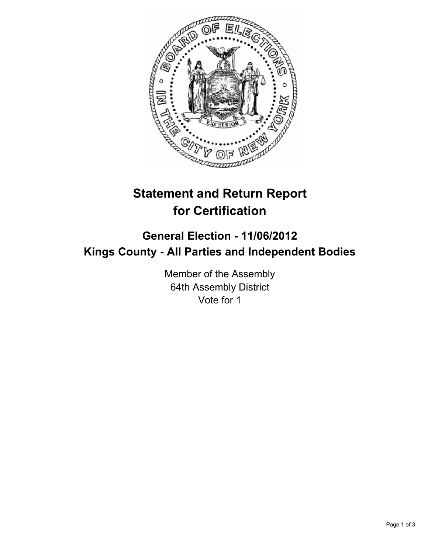

# **Statement and Return Report for Certification**

## **General Election - 11/06/2012 Kings County - All Parties and Independent Bodies**

Member of the Assembly 64th Assembly District Vote for 1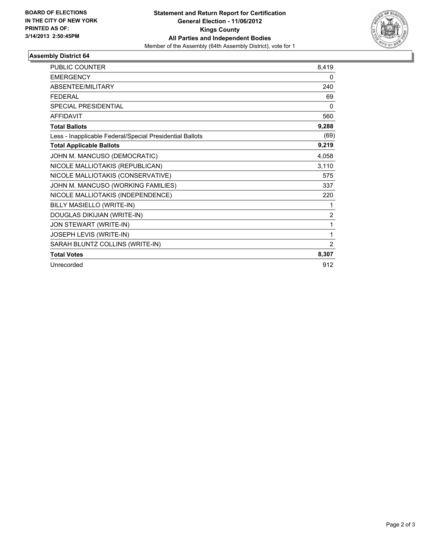

### **Assembly District 64**

| <b>PUBLIC COUNTER</b>                                    | 8,419          |
|----------------------------------------------------------|----------------|
| <b>EMERGENCY</b>                                         | 0              |
| ABSENTEE/MILITARY                                        | 240            |
| <b>FEDERAL</b>                                           | 69             |
| <b>SPECIAL PRESIDENTIAL</b>                              | $\Omega$       |
| <b>AFFIDAVIT</b>                                         | 560            |
| <b>Total Ballots</b>                                     | 9,288          |
| Less - Inapplicable Federal/Special Presidential Ballots | (69)           |
| <b>Total Applicable Ballots</b>                          | 9,219          |
| JOHN M. MANCUSO (DEMOCRATIC)                             | 4,058          |
| NICOLE MALLIOTAKIS (REPUBLICAN)                          | 3,110          |
| NICOLE MALLIOTAKIS (CONSERVATIVE)                        | 575            |
| JOHN M. MANCUSO (WORKING FAMILIES)                       | 337            |
| NICOLE MALLIOTAKIS (INDEPENDENCE)                        | 220            |
| BILLY MASIELLO (WRITE-IN)                                | 1              |
| DOUGLAS DIKIJIAN (WRITE-IN)                              | $\overline{2}$ |
| JON STEWART (WRITE-IN)                                   | 1              |
| JOSEPH LEVIS (WRITE-IN)                                  | 1              |
| SARAH BLUNTZ COLLINS (WRITE-IN)                          | 2              |
| <b>Total Votes</b>                                       | 8,307          |
| Unrecorded                                               | 912            |